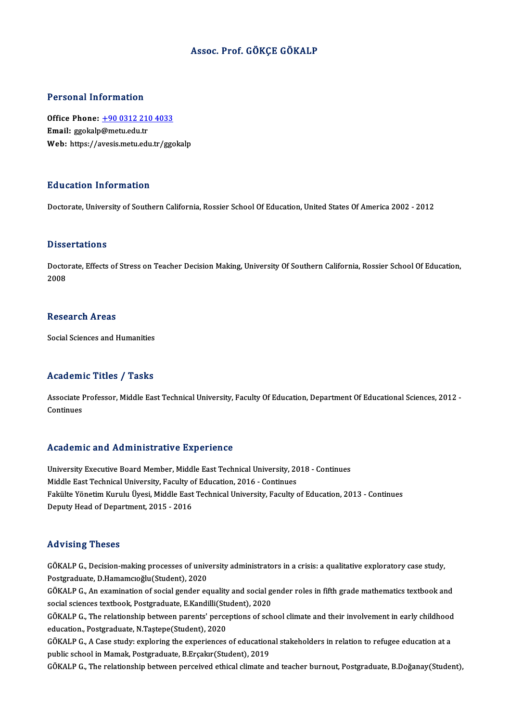## Assoc. Prof. GÖKÇE GÖKALP

### Personal Information

Personal Information<br>Office Phone: <u>+90 0312 210 4033</u><br>Email: gookala@metuedu.tr Processing information<br>Office Phone: <u>+90 0312 210</u><br>Email: ggokalp@metu.edu.tr Email: ggokalp@metu.edu.tr<br>Web: https://a[vesis.metu.edu.tr/ggo](tel:+90 0312 210 4033)kalp

### Education Information

Doctorate, University of Southern California, Rossier School Of Education, United States Of America 2002 - 2012

### **Dissertations**

Dissertations<br>Doctorate, Effects of Stress on Teacher Decision Making, University Of Southern California, Rossier School Of Education,<br>2008  $D$  1554 $D$ <br>Docto<br>2008 2008<br>Research Areas

Social Sciences and Humanities

## Academic Titles / Tasks

Academic Titles / Tasks<br>Associate Professor, Middle East Technical University, Faculty Of Education, Department Of Educational Sciences, 2012 -<br>Continues Associate I<br>Continues

# Academic and Administrative Experience

University Executive Board Member, Middle East Technical University, 2018 - Continues Middle East Technical University, Faculty of Education, 2016 - Continues University Executive Board Member, Middle East Technical University, 2018 - Continues<br>Middle East Technical University, Faculty of Education, 2016 - Continues<br>Fakülte Yönetim Kurulu Üyesi, Middle East Technical University, Middle East Technical University, Faculty o<br>Fakülte Yönetim Kurulu Üyesi, Middle East<br>Deputy Head of Department, 2015 - 2016 Deputy Head of Department, 2015 - 2016<br>Advising Theses

Advising Theses<br>GÖKALP G., Decision-making processes of university administrators in a crisis: a qualitative exploratory case study,<br>Restanaduate D Hamamgağlu(Student), 2020 raa viering in 1999<br>GÖKALP G., Decision-making processes of univ<br>Postgraduate, D.Hamamcıoğlu(Student), 2020<br>GÖKALP G. An exemination of social sender es GÖKALP G., Decision-making processes of university administrators in a crisis: a qualitative exploratory case study,<br>Postgraduate, D.Hamamcıoğlu(Student), 2020<br>GÖKALP G., An examination of social gender equality and social

Postgraduate, D.Hamamcıoğlu(Student), 2020<br>GÖKALP G., An examination of social gender equality and social geocial sciences textbook, Postgraduate, E.Kandilli(Student), 2020<br>GÖKALP G., The relationship between paranta' pors GÖKALP G., An examination of social gender equality and social gender roles in fifth grade mathematics textbook and<br>social sciences textbook, Postgraduate, E.Kandilli(Student), 2020<br>GÖKALP G., The relationship between pare

social sciences textbook, Postgraduate, E.Kandilli(Student)<br>GÖKALP G., The relationship between parents' perce<br>education., Postgraduate, N.Taştepe(Student), 2020 GÖKALP G., The relationship between parents' perceptions of school climate and their involvement in early childhood<br>education., Postgraduate, N.Taştepe(Student), 2020<br>GÖKALP G., A Case study: exploring the experiences of e

education., Postgraduate, N.Taștepe(Student), 2020<br>GÖKALP G., A Case study: exploring the experiences of education<br>public school in Mamak, Postgraduate, B.Erçakır(Student), 2019<br>GÖKALP G. The rektionship hetween nonseived GÖKALP G., A Case study: exploring the experiences of educational stakeholders in relation to refugee education at a<br>public school in Mamak, Postgraduate, B.Erçakır(Student), 2019<br>GÖKALP G., The relationship between percei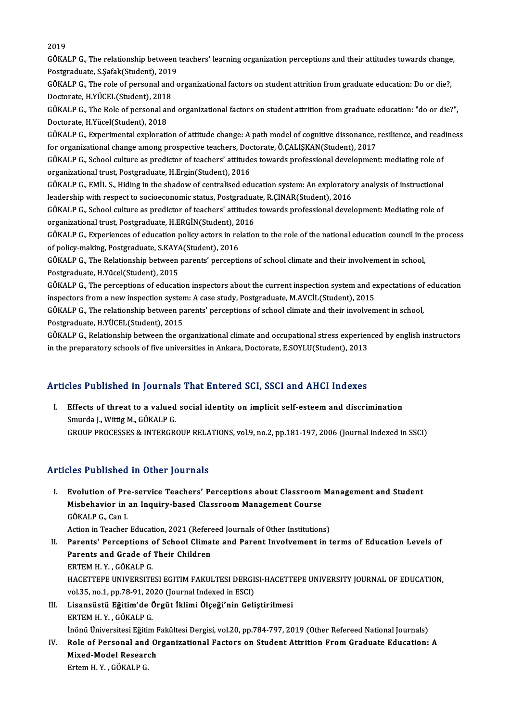2019

2019<br>GÖKALP G., The relationship between teachers' learning organization perceptions and their attitudes towards change,<br>Restanaduate S Safal:(Student), 2019 2019<br>GÖKALP G., The relationship between<br>Postgraduate, S.Şafak(Student), 2019<br>GÖKALB G., The rela of persensl and c GÖKALP G., The relationship between teachers' learning organization perceptions and their attitudes towards change<br>Postgraduate, S.Şafak(Student), 2019<br>GÖKALP G., The role of personal and organizational factors on student

Postgraduate, S.Şafak(Student), 2019<br>GÖKALP G., The role of personal and<br>Doctorate, H.YÜCEL(Student), 2018<br>GÖKALB G. The Bele of personal and Doctorate, H.YÜCEL(Student), 2018

GÖKALP G., The Role of personal and organizational factors on student attrition from graduate education: "do or die?",<br>Doctorate, H.Yücel(Student), 2018 GÖKALP G., The Role of personal and organizational factors on student attrition from graduate education: "do or die?",<br>Doctorate, H.Yücel(Student), 2018<br>GÖKALP G., Experimental exploration of attitude change: A path model

Doctorate, H.Yücel(Student), 2018<br>GÖKALP G., Experimental exploration of attitude change: A path model of cognitive dissonance, The G. States among prospective teachers, Doctorate, Ö.ÇALIŞKAN(Student), 2017<br>CÖKALP G. Schoo GÖKALP G., Experimental exploration of attitude change: A path model of cognitive dissonance, resilience, and read<br>for organizational change among prospective teachers, Doctorate, Ö.ÇALIŞKAN(Student), 2017<br>GÖKALP G., Schoo

for organizational change among prospective teachers, Doc<br>GÖKALP G., School culture as predictor of teachers' attitude<br>organizational trust, Postgraduate, H.Ergin(Student), 2016<br>GÖKALP G. EMİL S. Hiding in the shadow of so GÖKALP G., School culture as predictor of teachers' attitudes towards professional development: mediating role of<br>organizational trust, Postgraduate, H.Ergin(Student), 2016<br>GÖKALP G., EMİL S., Hiding in the shadow of centr

organizational trust, Postgraduate, H.Ergin(Student), 2016<br>GÖKALP G., EMİL S., Hiding in the shadow of centralised education system: An exploratory analysis of instructional<br>leadership with respect to socioeconomic status, GÖKALP G., EMİL S., Hiding in the shadow of centralised education system: An exploratory analysis of instructional<br>leadership with respect to socioeconomic status, Postgraduate, R.ÇINAR(Student), 2016<br>GÖKALP G., School cul

leadership with respect to socioeconomic status, Postgradua<br>GÖKALP G., School culture as predictor of teachers' attitudes<br>organizational trust, Postgraduate, H.ERGİN(Student), 2016<br>GÖKALP G. Experiences of education polisy GÖKALP G., School culture as predictor of teachers' attitudes towards professional development: Mediating role of<br>organizational trust, Postgraduate, H.ERGİN(Student), 2016<br>GÖKALP G., Experiences of education policy actors

organizational trust, Postgraduate, H.ERGİN(Student), 2016<br>GÖKALP G., Experiences of education policy actors in relation to the role of the national education council in the process<br>of policy-making, Postgraduate, S.KAYA(S GÖKALP G., Experiences of education policy actors in relation to the role of the national education council in t<br>of policy-making, Postgraduate, S.KAYA(Student), 2016<br>GÖKALP G., The Relationship between parents' perception

of policy-making, Postgraduate, S.KAY/<br>GÖKALP G., The Relationship between<br>Postgraduate, H.Yücel(Student), 2015 GÖKALP G., The Relationship between parents' perceptions of school climate and their involvement in school,<br>Postgraduate, H.Yücel(Student), 2015<br>GÖKALP G., The perceptions of education inspectors about the current inspecti

Postgraduate, H.Yücel(Student), 2015<br>GÖKALP G., The perceptions of education inspectors about the current inspection system and ex<br>inspectors from a new inspection system: A case study, Postgraduate, M.AVCİL(Student), 2015 GÖKALP G., The perceptions of education inspectors about the current inspection system and expectations of<br>inspectors from a new inspection system: A case study, Postgraduate, M.AVCİL(Student), 2015<br>GÖKALP G., The relation

inspectors from a new inspection system: A case study, Postgraduate, M.AVCİL(Student), 2015<br>GÖKALP G., The relationship between parents' perceptions of school climate and their involvement in school,<br>Postgraduate, H.YÜCEL( GÖKALP G., The relationship between parents' perceptions of school climate and their involvement in school,<br>Postgraduate, H.YÜCEL(Student), 2015<br>GÖKALP G., Relationship between the organizational climate and occupational s

Postgraduate, H.YÜCEL(Student), 2015<br>GÖKALP G., Relationship between the organizational climate and occupational stress experien<br>in the preparatory schools of five universities in Ankara, Doctorate, E.SOYLU(Student), 2013

# in the preparatory schools of five universities in Ankara, Doctorate, E.SOYLU(Student), 2013<br>Articles Published in Journals That Entered SCI, SSCI and AHCI Indexes

rticles Published in Journals That Entered SCI, SSCI and AHCI Indexes<br>I. Effects of threat to a valued social identity on implicit self-esteem and discrimination<br>Smugge L.Wittis M. CÖKALR.C SECT ADHOREA IN JOURNAL<br>Effects of threat to a valued<br>Smurda J., Wittig M., GÖKALP G.<br>CPOUP PROCESSES & INTERCR Effects of threat to a valued social identity on implicit self-esteem and discrimination<br>Smurda J., Wittig M., GÖKALP G.<br>GROUP PROCESSES & INTERGROUP RELATIONS, vol.9, no.2, pp.181-197, 2006 (Journal Indexed in SSCI) GROUP PROCESSES & INTERGROUP RELATIONS, vol.9, no.2, pp.181-197, 2006 (Journal Indexed in SSCI)<br>Articles Published in Other Journals

rticles Published in Other Journals<br>I. Evolution of Pre-service Teachers' Perceptions about Classroom Management and Student<br>Mishebayier in an Inquiry based Classroom Management Course Most I dononed in other journals<br>Evolution of Pre-service Teachers' Perceptions about Classroom<br>Misbehavior in an Inquiry-based Classroom Management Course<br>COKALB.C. Con L Evolution of Pre<br>Misbehavior in<br>GÖKALP G., Can I.<br>Action in Teacher Misbehavior in an Inquiry-based Classroom Management Course<br>GÖKALP G., Can I.<br>Action in Teacher Education, 2021 (Refereed Journals of Other Institutions)<br>Parantal Barcantions of School Climate and Parant Involvement in t

GÖKALP G., Can I.<br>Action in Teacher Education, 2021 (Refereed Journals of Other Institutions)<br>II. Parents' Perceptions of School Climate and Parent Involvement in terms of Education Levels of<br>Parents and Crade of Their Chi Action in Teacher Education, 2021 (Refere<br>Parents' Perceptions of School Clima<br>Parents and Grade of Their Children<br>FRTEM H Y CÖKALRC Parents' Perceptions<br>Parents and Grade of<br>ERTEM H.Y., GÖKALP G.<br>HACETTEDE UNIVERSITE Parents and Grade of Their Children<br>ERTEM H. Y. , GÖKALP G.<br>HACETTEPE UNIVERSITESI EGITIM FAKULTESI DERGISI-HACETTEPE UNIVERSITY JOURNAL OF EDUCATION,<br>vol 35, no.1, nn 78,91,2020 (Journal Indoved in FSCD) ERTEM H. Y. , GÖKALP G.<br>HACETTEPE UNIVERSITESI EGITIM FAKULTESI DERGI:<br>vol.35, no.1, pp.78-91, 2020 (Journal Indexed in ESCI)<br>Lisansüstü, Eğitim'de Öngüt İklimi Ölseği'nin Celi HACETTEPE UNIVERSITESI EGITIM FAKULTESI DERGISI-HACETTI<br>vol.35, no.1, pp.78-91, 2020 (Journal Indexed in ESCI)<br>III. Lisansüstü Eğitim'de Örgüt İklimi Ölçeği'nin Geliştirilmesi<br>EPTEM H Y CÖKALB C

# vol.35, no.1, pp.78-91, 20<br>Lisansüstü <mark>Eğitim'de (</mark><br>ERTEM H. Y. , GÖKALP G.<br>İnönü Üniversitesi Eğitim ERTEM H. Y. , GÖKALP G.<br>İnönü Üniversitesi Eğitim Fakültesi Dergisi, vol.20, pp.784-797, 2019 (Other Refereed National Journals)

ERTEM H. Y. , GÖKALP G.<br>Inönü Üniversitesi Eğitim Fakültesi Dergisi, vol.20, pp.784-797, 2019 (Other Refereed National Journals)<br>IV. Role of Personal and Organizational Factors on Student Attrition From Graduate Educat İnönü Üniversitesi Eğitim I<br>Role of Personal and O<br>Mixed-Model Research<br>Ertom H. Y., GÖKALB.C Role of Personal and<br>Mixed-Model Resear<br>Ertem H. Y. , GÖKALP G.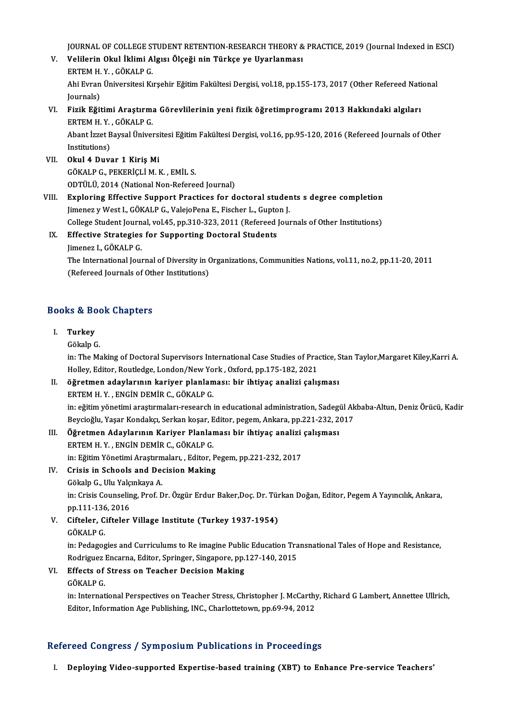JOURNAL OF COLLEGE STUDENT RETENTION-RESEARCH THEORY & PRACTICE, 2019 (Journal Indexed in ESCI)<br>Velilerin Olul İl-limi Algısı Ölseği nin Türkee ve Uyarlanması

- JOURNAL OF COLLEGE STUDENT RETENTION-RESEARCH THEORY &<br>V. Velilerin Okul İklimi Algısı Ölçeği nin Türkçe ye Uyarlanması<br>FRTEM H. X. GÖYALR G JOURNAL OF COLLEGE ST<br>Velilerin Okul İklimi A<br>ERTEM H.Y. , GÖKALP G.<br>Abi Erman Üniversitesi Kr V. Velilerin Okul İklimi Algısı Ölçeği nin Türkçe ye Uyarlanması<br>ERTEM H. Y. , GÖKALP G.<br>Ahi Evran Üniversitesi Kırşehir Eğitim Fakültesi Dergisi, vol.18, pp.155-173, 2017 (Other Refereed National<br>Journals) ERTEM H Y , GÖKALP G Ahi Evran Üniversitesi Kırşehir Eğitim Fakültesi Dergisi, vol.18, pp.155-173, 2017 (Other Refereed Nati Journals)<br>VI. Fizik Eğitimi Araştırma Görevlilerinin yeni fizik öğretimprogramı 2013 Hakkındaki algıları<br>ERTEM H. Y. G
- Journals)<br>Fizik E<mark>ğitimi Araştırm</mark>.<br>ERTEM H.Y., GÖKALP G.<br>Abant İzzet Payçal Üniyel Fizik Eğitimi Araştırma Görevlilerinin yeni fizik öğretimprogramı 2013 Hakkındaki algıları<br>ERTEM H. Y. , GÖKALP G.<br>Abant İzzet Baysal Üniversitesi Eğitim Fakültesi Dergisi, vol.16, pp.95-120, 2016 (Refereed Journals of Oth

ERTEM H.Y.<br>Abant İzzet B<br>Institutions)<br>Okul 4 Duve Institutions)<br>VII. Okul 4 Duvar 1 Kiriş Mi

- GÖKALPG.,PEKERİÇLİM.K. ,EMİL S. ODTÜLÜ, 2014 (National Non-Refereed Journal)
- GÖKALP G., PEKERİÇLİ M. K. , EMİL S.<br>ODTÜLÜ, 2014 (National Non-Refereed Journal)<br>VIII. Exploring Effective Support Practices for doctoral students s degree completion<br>Jimener v West L. GÖKALB G. VolajaBana E. Ejseber L. G ODTÜLÜ, 2014 (National Non-Refereed Journal)<br>Exploring Effective Support Practices for doctoral studer<br>Jimenez y West I., GÖKALP G., ValejoPena E., Fischer L., Gupton J.<br>Cellege Student Journal vol 45, nn 210, 222, 2011 (R Exploring Effective Support Practices for doctoral students s degree completion<br>Jimenez y West I., GÖKALP G., ValejoPena E., Fischer L., Gupton J.<br>College Student Journal, vol.45, pp.310-323, 2011 (Refereed Journals of Oth Jimenez y West I., GÖKALP G., ValejoPena E., Fischer L., Gupto<br>College Student Journal, vol.45, pp.310-323, 2011 (Refereed<br>IX. Effective Strategies for Supporting Doctoral Students<br>Impere L. GÖKALP G.

# College Student Journal, vol.45, pp.310-323, 2011 (Refereed Journals of Other Institutions)<br>IX. Effective Strategies for Supporting Doctoral Students<br>Jimenez I., GÖKALP G. Effective Strategies for Supporting Doctoral Students<br>Jimenez I., GÖKALP G.<br>The International Journal of Diversity in Organizations, Communities Nations, vol.11, no.2, pp.11-20, 2011

Jimenez I., GÖKALP G.<br>The International Journal of Diversity in (<br>(Refereed Journals of Other Institutions) (Refereed Journals of Other Institutions)<br>Books & Book Chapters

## I. Turkey

GökalpG.

Turkey<br>Gökalp G.<br>in: The Making of Doctoral Supervisors International Case Studies of Practice, Stan Taylor,Margaret Kiley,Karri A.<br>Holloy, Editor, Boutledge, London (Now York, Ovford, np.175-192-2021 Gökalp G.<br>in: The Making of Doctoral Supervisors International Case Studies of Prac<br>Holley, Editor, Routledge, London/New York , Oxford, pp.175-182, 2021<br>Öğretmen adaylarının kariyer planlaması, bir ihtiyes analizi salıs I . öğretmen adaylarının kariyer planlaması: bir ihtiyaç analizi çalışması

Holley, Editor, Routledge, London/New Yo<br>öğretmen adaylarının kariyer planlam<br>ERTEM H. Y. , ENGİN DEMİR C., GÖKALP G.<br>in: eğitim vönetimi anastumaları ressarek i öğretmen adaylarının kariyer planlaması: bir ihtiyaç analizi çalışması<br>ERTEM H. Y. , ENGİN DEMİR C., GÖKALP G.<br>in: eğitim yönetimi araştırmaları-research in educational administration, Sadegül Akbaba-Altun, Deniz Örücü, Ka ERTEM H. Y. , ENGİN DEMİR C., GÖKALP G.<br>in: eğitim yönetimi araştırmaları-research in educational administration, Sadegül Ak<br>Beycioğlu, Yaşar Kondakçı, Serkan koşar, Editor, pegem, Ankara, pp.221-232, 2017<br>Öğnetmen, Adevla in: eğitim yönetimi araştırmaları-research in educational administration, Sadeg<br>Beycioğlu, Yaşar Kondakçı, Serkan koşar, Editor, pegem, Ankara, pp.221-232, 2<br>III. Öğretmen Adaylarının Kariyer Planlaması bir ihtiyaç analizi

# Beycioğlu, Yaşar Kondakçı, Serkan koşar, Editor, pegem, Ankara, pp.221-232, 2017<br>Öğretmen Adaylarının Kariyer Planlaması bir ihtiyaç analizi çalışması<br>ERTEM H. Y., ENGİN DEMİR C., GÖKALP G.<br>in: Eğitim Yönetimi Araştırmalar III. Öğretmen Adaylarının Kariyer Planlaması bir ihtiyaç analizi çalışması ERTEM H. Y., ENGIN DEMIR C., GÖKALP G.<br>in: Eğitim Yönetimi Araştırmaları, , Editor, P.<br>IV. Crisis in Schools and Decision Making

in: Eğitim Yönetimi Araştırm<br>Crisis in Schools and Dee<br>Gökalp G., Ulu Yalçınkaya A.<br>in: Crisis Counseling Prof. D Gökalp G., Ulu Yalçınkaya A.

in: Crisis Counseling, Prof. Dr. Özgür Erdur Baker,Doç. Dr. Türkan Doğan, Editor, Pegem A Yayıncılık, Ankara,<br>pp.111-136, 2016 in: Crisis Counseling, Prof. Dr. Özgür Erdur Baker,Doç. Dr. Tür<br>pp.111-136, 2016<br>V. Cifteler, Cifteler Village Institute (Turkey 1937-1954)

pp.111-136<br><mark>Cifteler, C</mark><br>GÖKALP G.<br>in: <sup>Rodogog</sup>

Cifteler, Cifteler Village Institute (Turkey 1937-1954)<br>GÖKALP G.<br>in: Pedagogies and Curriculums to Re imagine Public Education Transnational Tales of Hope and Resistance,<br>Redrigues Encerna Editor Springer, Singapere, pp.1 GÖKALP G.<br>in: Pedagogies and Curriculums to Re imagine Public Education Tra<br>Rodriguez Encarna, Editor, Springer, Singapore, pp.127-140, 2015<br>Effects of Stress on Teashor Desision Making. Rodriguez Encarna, Editor, Springer, Singapore, pp.127-140, 2015

VI. Effects of Stress on Teacher Decision Making<br>GÖKALP G.

Effects of Stress on Teacher Decision Making<br>GÖKALP G.<br>in: International Perspectives on Teacher Stress, Christopher J. McCarthy, Richard G Lambert, Annettee Ullrich,<br>Editor Information Ace Publishing ING, Charlettetour, n GÖKALP G.<br>in: International Perspectives on Teacher Stress, Christopher J. McCarthy<br>Editor, Information Age Publishing, INC., Charlottetown, pp.69-94, 2012

# Editor, Information Age Publishing, INC., Charlottetown, pp.69-94, 2012<br>Refereed Congress / Symposium Publications in Proceedings

I. Deploying Video-supported Expertise-based training (XBT) to Enhance Pre-service Teachers'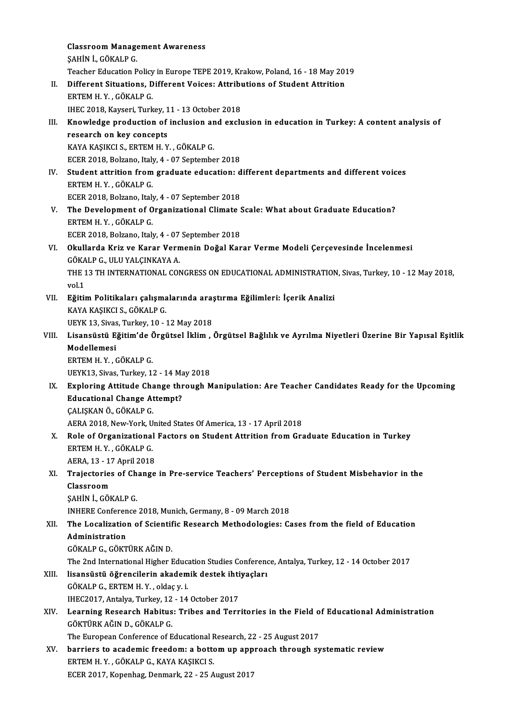Classroom Management Awareness<br>SAHIN L.CÖVALR.C Classroom Manage<br>ŞAHİN İ., GÖKALP G.<br>Teasber Edusstier B Classroom Management Awareness<br>ŞAHİN İ., GÖKALP G.<br>Teacher Education Policy in Europe TEPE 2019, Krakow, Poland, 16 - 18 May 2019<br>Different Situations, Different Voises: Attributions of Student Attrition SAHİN İ., GÖKALP G.<br>Teacher Education Policy in Europe TEPE 2019, Krakow, Poland, 16 - 18 May 20.<br>II. Different Situations, Different Voices: Attributions of Student Attrition Teacher Education Policy<br>Different Situations, D<br>ERTEM H.Y., GÖKALP G.<br>IUEC 2018, Kavseri Turk Different Situations, Different Voices: Attribu<br>ERTEM H. Y. , GÖKALP G.<br>IHEC 2018, Kayseri, Turkey, 11 - 13 October 2018<br>Knowledge production of inclusion and excl ERTEM H. Y. , GÖKALP G.<br>IHEC 2018, Kayseri, Turkey, 11 - 13 October 2018<br>III. Knowledge production of inclusion and exclusion in education in Turkey: A content analysis of<br>researsh on lay sensents **IHEC 2018, Kayseri, Turkey, 1<br>Knowledge production of<br>research on key concepts<br>KAVA KASIKCLS, EPTEM H. V** Knowledge production of inclusion ar<br>research on key concepts<br>KAYA KAŞIKCI S., ERTEM H. Y. , GÖKALP G.<br>FCEP 2018. Bekane, İtaly 4., 07 Santamba research on key concepts<br>KAYA KAŞIKCI S., ERTEM H. Y. , GÖKALP G.<br>ECER 2018, Bolzano, Italy, 4 - 07 September 2018<br>Student attrition from graduate education: d KAYA KAŞIKCI S., ERTEM H. Y. , GÖKALP G.<br>ECER 2018, Bolzano, Italy, 4 - 07 September 2018<br>IV. Student attrition from graduate education: different departments and different voices<br>ERTEM H. Y. CÖKALR C. ECER 2018, Bolzano, Italy<br>Student attrition from<br>ERTEM H. Y. , GÖKALP G.<br>ECEP 2018, Bolzano, Italy Student attrition from graduate education: d<br>ERTEM H.Y., GÖKALP G.<br>ECER 2018, Bolzano, Italy, 4 - 07 September 2018<br>The Develemment of Organizational Climate ( ERTEM H. Y., GÖKALP G.<br>ECER 2018, Bolzano, Italy, 4 - 07 September 2018<br>V. The Development of Organizational Climate Scale: What about Graduate Education?<br>FRTEM H. Y., GÖKALR G. ECER 2018, Bolzano, Italy<br>The Development of O<br>ERTEM H.Y. , GÖKALP G.<br>ECEP 2018, Bolzano, Italy The Development of Organizational Climate !<br>ERTEM H. Y. , GÖKALP G.<br>ECER 2018, Bolzano, Italy, 4 - 07 September 2018<br>Okullande Kriz ve Karar Vermenin Değal Kar ERTEM H. Y. , GÖKALP G.<br>ECER 2018, Bolzano, Italy, 4 - 07 September 2018<br>VI. Okullarda Kriz ve Karar Vermenin Doğal Karar Verme Modeli Çerçevesinde İncelenmesi<br>GÖKALR G. III ILYALGINKAYA A ECER 2018, Bolzano, Italy, 4 - 07<br>**Okullarda Kriz ve Karar Vern<br>GÖKALP G., ULU YALÇINKAYA A.<br>THE 12 TH INTERNATIONAL CON** Okullarda Kriz ve Karar Vermenin Doğal Karar Verme Modeli Çerçevesinde İncelenmesi<br>GÖKALP G., ULU YALÇINKAYA A.<br>THE 13 TH INTERNATIONAL CONGRESS ON EDUCATIONAL ADMINISTRATION, Sivas, Turkey, 10 - 12 May 2018,<br>vol 1 GÖKA<br>THE 1<br>vol.1<br>E<del>žiti</del>: THE 13 TH INTERNATIONAL CONGRESS ON EDUCATIONAL ADMINISTRATION<br>vol.1<br>VII. Eğitim Politikaları çalışmalarında araştırma Eğilimleri: İçerik Analizi<br>KANA KASIKÇI S. CÖKALR C vol.1<br>VII. Eğitim Politikaları çalışmalarında araştırma Eğilimleri: İçerik Analizi<br>KAYA KAŞIKCI S., GÖKALP G. Eğitim Politikaları çalışmalarında araş<br>KAYA KAŞIKCI S., GÖKALP G.<br>UEYK 13, Sivas, Turkey, 10 - 12 May 2018<br>Lisansüstü Eğitim'de Örgütsel İklim KAYA KAŞIKCI S., GÖKALP G.<br>UEYK 13, Sivas, Turkey, 10 - 12 May 2018<br>VIII. Lisansüstü Eğitim'de Örgütsel İklim , Örgütsel Bağlılık ve Ayrılma Niyetleri Üzerine Bir Yapısal Eşitlik<br>Medellemesi UEYK 13, Sivas<br>Lisansüstü E<sub>i</sub><br>Modellemesi<br><sup>Ертем и У</sup> Lisansüstü Eğitim'de (<br>Modellemesi<br>ERTEM H.Y.,GÖKALP G.<br>UEVK12 Sives Turkey 1 Modellemesi<br>ERTEM H. Y. , GÖKALP G.<br>UEYK13, Sivas, Turkey, 12 - 14 May 2018 ERTEM H. Y. , GÖKALP G.<br>UEYK13, Sivas, Turkey, 12 - 14 May 2018<br>IX. Exploring Attitude Change through Manipulation: Are Teacher Candidates Ready for the Upcoming<br>Educational Change Attemnt? UEYK13, Sivas, Turkey, 12 - 14 Ma<br>Exploring Attitude Change thr<br>Educational Change Attempt?<br>CALISKANÖ CÖKALB C Educational Change Attempt?<br>CALISKAN Ö., GÖKALP G. AERA 2018, New-York, United States Of America, 13 - 17 April 2018 CALISKAN Ö., GÖKALP G.<br>AERA 2018, New-York, United States Of America, 13 - 17 April 2018<br>X. Role of Organizational Factors on Student Attrition from Graduate Education in Turkey AERA 2018, New-York, U<br>Role of Organizational<br>ERTEM H. Y. , GÖKALP G.<br>AERA 12 - 17 April 2019 Role of Organizational<br>ERTEM H.Y., GÖKALP G.<br>AERA, 13 - 17 April 2018<br>Traiastaries of Change ERTEM H. Y. , GÖKALP G.<br>AERA, 13 - 17 April 2018<br>XI. Trajectories of Change in Pre-service Teachers' Perceptions of Student Misbehavior in the<br>Classroom AERA, 13 - 17<br>Trajectories<br>Classroom<br>SAHIN L.CÖL Trajectories of Ch<br>Classroom<br>ŞAHİN İ., GÖKALP G.<br>INHEPE Conference Classroom<br>ŞAHİN İ., GÖKALP G.<br>INHERE Conference 2018, Munich, Germany, 8 - 09 March 2018<br>The Losalization of Scientific Besearch Mathodologies: G \$AHİN İ., GÖKALP G.<br>INHERE Conference 2018, Munich, Germany, 8 - 09 March 2018<br>XII. The Localization of Scientific Research Methodologies: Cases from the field of Education<br>Administration INHERE Conferen<br>The Localization<br>Administration<br>CÖYALB C. CÖYT The Localization of Scientif<br>Administration<br>GÖKALP G., GÖKTÜRK AĞIN D.<br>The 2nd International Higher I Administration<br>GÖKALP G., GÖKTÜRK AĞIN D.<br>The 2nd International Higher Education Studies Conference, Antalya, Turkey, 12 - 14 October 2017<br>lisangüstü, öğrengilerin ekademik destek ihtiyasları GÖKALP G., GÖKTÜRK AĞIN D.<br>The 2nd International Higher Education Studies Conference<br>XIII. Iisansüstü öğrencilerin akademik destek ihtiyaçları<br>CÖKALB C. ERTEM H V. Əldəsu i The 2nd International Higher Educa<br>Iisansüstü öğrencilerin akadem<br>GÖKALP G., ERTEM H. Y. , oldaç y. i.<br>IUEC2017. Antalya Turkay 12, . 14 lisansüstü öğrencilerin akademik destek ihti<br>GÖKALP G., ERTEM H. Y. , oldaç y. i.<br>IHEC2017, Antalya, Turkey, 12 - 14 October 2017<br>Learning Besearsh Hebitue: Tribes and Terr GÖKALP G., ERTEM H. Y. , oldaç y. i.<br>IHEC2017, Antalya, Turkey, 12 - 14 October 2017<br>XIV. Learning Research Habitus: Tribes and Territories in the Field of Educational Administration<br>CÖVTÜPK AČIN D. CÖKALR C IHEC2017, Antalya, Turkey, 12 - 14 October 2017<br>Learning Research Habitus: Tribes and Terr<br>GÖKTÜRK AĞIN D., GÖKALP G. Learning Research Habitus: Tribes and Territories in the Field o<br>GÖKTÜRK AĞIN D., GÖKALP G.<br>The European Conference of Educational Research, 22 - 25 August 2017<br>berriers to assedemis freedom: a bettem un annreash through a XV. barriers to academic freedom: a bottom up approach through systematic review<br>ERTEM H.Y., GÖKALP G., KAYA KAŞIKCI S. The European Conference of Educational Research, 22 - 25 August 2017 ECER2017,Kopenhag,Denmark,22 -25August2017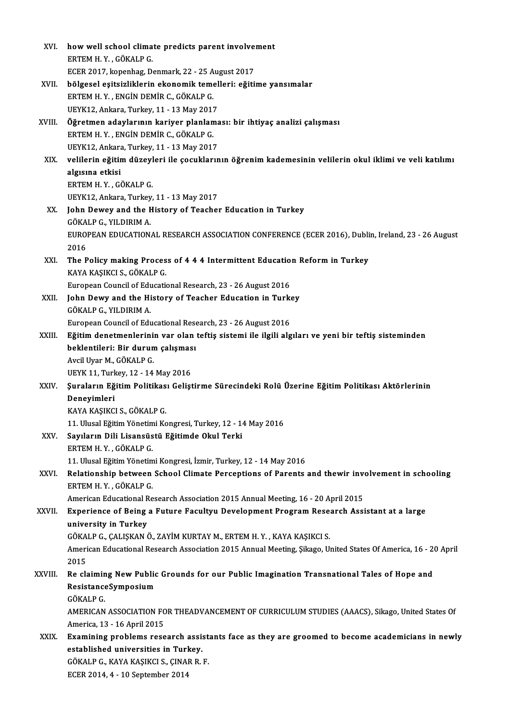| XVI.        | how well school climate predicts parent involvement                                                            |
|-------------|----------------------------------------------------------------------------------------------------------------|
|             | ERTEM H.Y., GÖKALP G.                                                                                          |
|             | ECER 2017, kopenhag, Denmark, 22 - 25 August 2017                                                              |
| XVII.       | bölgesel eşitsizliklerin ekonomik temelleri: eğitime yansımalar                                                |
|             | ERTEM H.Y., ENGIN DEMIR C., GÖKALP G.                                                                          |
|             | UEYK12, Ankara, Turkey, 11 - 13 May 2017                                                                       |
| XVIII.      | Öğretmen adaylarının kariyer planlaması: bir ihtiyaç analizi çalışması                                         |
|             | ERTEM H.Y., ENGIN DEMIR C., GÖKALP G.                                                                          |
|             | UEYK12, Ankara, Turkey, 11 - 13 May 2017                                                                       |
| XIX.        | velilerin eğitim düzeyleri ile çocuklarının öğrenim kademesinin velilerin okul iklimi ve veli katılımı         |
|             |                                                                                                                |
|             | algısına etkisi<br>ERTEM H.Y., GÖKALP G.                                                                       |
|             |                                                                                                                |
|             | UEYK12, Ankara, Turkey, 11 - 13 May 2017                                                                       |
| XX.         | John Dewey and the History of Teacher Education in Turkey                                                      |
|             | GÖKALP G, YILDIRIM A.                                                                                          |
|             | EUROPEAN EDUCATIONAL RESEARCH ASSOCIATION CONFERENCE (ECER 2016), Dublin, Ireland, 23 - 26 August<br>2016      |
| XXI.        | The Policy making Process of 4 4 4 Intermittent Education Reform in Turkey                                     |
|             | KAYA KAŞIKCI S., GÖKALP G.                                                                                     |
|             | European Council of Educational Research, 23 - 26 August 2016                                                  |
| XXII.       | John Dewy and the History of Teacher Education in Turkey                                                       |
|             | GÖKALP G., YILDIRIM A.                                                                                         |
|             |                                                                                                                |
|             | European Council of Educational Research, 23 - 26 August 2016                                                  |
| XXIII.      | Eğitim denetmenlerinin var olan teftiş sistemi ile ilgili algıları ve yeni bir teftiş sisteminden              |
|             | beklentileri: Bir durum çalışması                                                                              |
|             | Avcil Uyar M., GÖKALP G.                                                                                       |
|             | UEYK 11, Turkey, 12 - 14 May 2016                                                                              |
| <b>XXIV</b> | Şuraların Eğitim Politikası Geliştirme Sürecindeki Rolü Üzerine Eğitim Politikası Aktörlerinin                 |
|             | Denevimleri                                                                                                    |
|             | KAYA KAŞIKCI S., GÖKALP G.                                                                                     |
|             | 11. Ulusal Eğitim Yönetimi Kongresi, Turkey, 12 - 14 May 2016                                                  |
| XXV.        | Sayıların Dili Lisansüstü Eğitimde Okul Terki                                                                  |
|             | ERTEM H.Y., GÖKALP G.                                                                                          |
|             | 11. Ulusal Eğitim Yönetimi Kongresi, İzmir, Turkey, 12 - 14 May 2016                                           |
| XXVI.       | Relationship between School Climate Perceptions of Parents and thewir involvement in schooling                 |
|             | ERTEM H.Y., GÖKALP G.                                                                                          |
|             | American Educational Research Association 2015 Annual Meeting, 16 - 20 April 2015                              |
| XXVII.      | Experience of Being a Future Facultyu Development Program Research Assistant at a large                        |
|             | university in Turkey                                                                                           |
|             | GÖKALP G., ÇALIŞKAN Ö., ZAYİM KURTAY M., ERTEM H. Y. , KAYA KAŞIKCI S.                                         |
|             | American Educational Research Association 2015 Annual Meeting, Şikago, United States Of America, 16 - 20 April |
|             | 2015                                                                                                           |
| XXVIII.     | Re claiming New Public Grounds for our Public Imagination Transnational Tales of Hope and                      |
|             | ResistanceSymposium                                                                                            |
|             | GÖKALP G                                                                                                       |
|             | AMERICAN ASSOCIATION FOR THEADVANCEMENT OF CURRICULUM STUDIES (AAACS), Sikago, United States Of                |
|             | America, 13 - 16 April 2015                                                                                    |
| XXIX.       | Examining problems research assistants face as they are groomed to become academicians in newly                |
|             | established universities in Turkey.                                                                            |
|             | GÖKALP G., KAYA KAŞIKCI S., ÇINAR R. F.                                                                        |
|             | ECER 2014, 4 - 10 September 2014                                                                               |